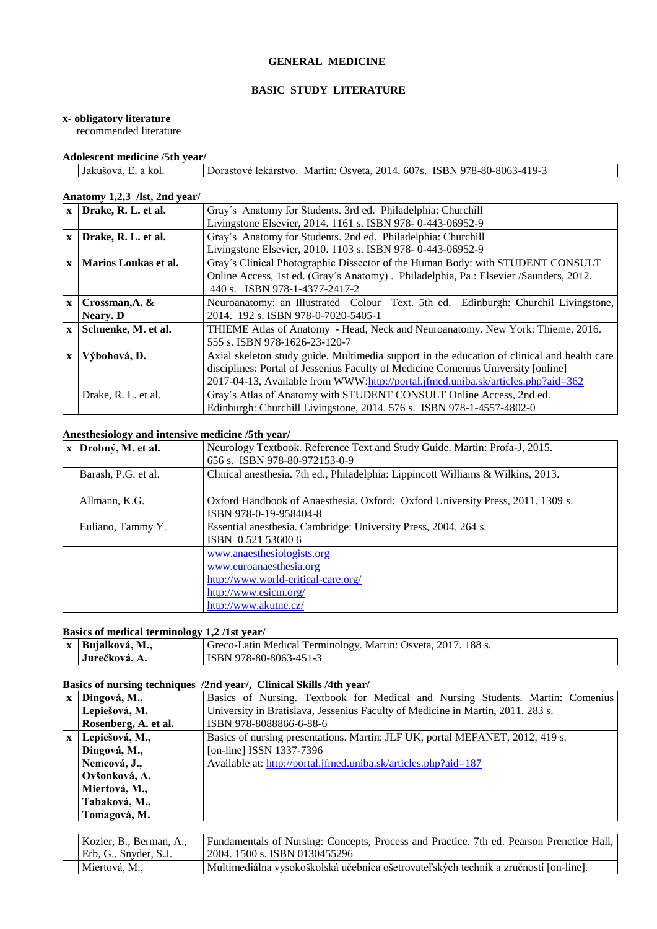#### **GENERAL MEDICINE**

#### **BASIC STUDY LITERATURE**

#### **x- obligatory literature**

recommended literature

# **Adolescent medicine /5th year/**

| Dorastové lekárstvo. Martin: Osveta. 2014. 607s. ISBN 978-80-8063-419-3 | -------------------------------- |  |  |  |
|-------------------------------------------------------------------------|----------------------------------|--|--|--|
|                                                                         |                                  |  |  |  |

# **Anatomy 1,2,3 /lst, 2nd year/**

| $\mathbf{X}$ | Drake, R. L. et al.      | Gray's Anatomy for Students. 3rd ed. Philadelphia: Churchill                                |  |
|--------------|--------------------------|---------------------------------------------------------------------------------------------|--|
|              |                          | Livingstone Elsevier, 2014. 1161 s. ISBN 978-0-443-06952-9                                  |  |
| $\mathbf{X}$ | Drake, R. L. et al.      | Gray's Anatomy for Students. 2nd ed. Philadelphia: Churchill                                |  |
|              |                          | Livingstone Elsevier, 2010. 1103 s. ISBN 978-0-443-06952-9                                  |  |
|              | x   Marios Loukas et al. | Gray's Clinical Photographic Dissector of the Human Body: with STUDENT CONSULT              |  |
|              |                          | Online Access, 1st ed. (Gray's Anatomy). Philadelphia, Pa.: Elsevier /Saunders, 2012.       |  |
|              |                          | 440 s. ISBN 978-1-4377-2417-2                                                               |  |
| $\mathbf{x}$ | Crossman, A. &           | Neuroanatomy: an Illustrated Colour Text. 5th ed. Edinburgh: Churchil Livingstone,          |  |
|              | Neary. D                 | 2014. 192 s. ISBN 978-0-7020-5405-1                                                         |  |
| $\mathbf{x}$ | Schuenke, M. et al.      | THIEME Atlas of Anatomy - Head, Neck and Neuroanatomy. New York: Thieme, 2016.              |  |
|              |                          | 555 s. ISBN 978-1626-23-120-7                                                               |  |
| $\mathbf{x}$ | Výbohová, D.             | Axial skeleton study guide. Multimedia support in the education of clinical and health care |  |
|              |                          | disciplines: Portal of Jessenius Faculty of Medicine Comenius University [online]           |  |
|              |                          | 2017-04-13, Available from WWW:http://portal.jfmed.uniba.sk/articles.php?aid=362            |  |
|              | Drake, R. L. et al.      | Gray's Atlas of Anatomy with STUDENT CONSULT Online Access, 2nd ed.                         |  |
|              |                          | Edinburgh: Churchill Livingstone, 2014. 576 s. ISBN 978-1-4557-4802-0                       |  |

#### **Anesthesiology and intensive medicine /5th year/**

| $\mathbf{x}$ | Drobný, M. et al.   | Neurology Textbook. Reference Text and Study Guide. Martin: Profa-J, 2015.                                                                     |
|--------------|---------------------|------------------------------------------------------------------------------------------------------------------------------------------------|
|              |                     | 656 s. ISBN 978-80-972153-0-9                                                                                                                  |
|              | Barash, P.G. et al. | Clinical anesthesia. 7th ed., Philadelphia: Lippincott Williams & Wilkins, 2013.                                                               |
|              | Allmann, K.G.       | Oxford Handbook of Anaesthesia. Oxford: Oxford University Press, 2011. 1309 s.<br>ISBN 978-0-19-958404-8                                       |
|              | Euliano, Tammy Y.   | Essential anesthesia. Cambridge: University Press, 2004. 264 s.<br>ISBN 0521536006                                                             |
|              |                     | www.anaesthesiologists.org<br>www.euroanaesthesia.org<br>http://www.world-critical-care.org/<br>http://www.esicm.org/<br>http://www.akutne.cz/ |

#### **Basics of medical terminology 1,2 /1st year/**

| x   Bujalková, M., | <sup>1</sup> Greco-Latin Medical Terminology. Martin: Osveta, 2017. 188 s. |
|--------------------|----------------------------------------------------------------------------|
| Jurečková, A.      | ISBN 978-80-8063-451-3                                                     |

# **Basics of nursing techniques /2nd year/, Clinical Skills /4th year/**

|              | Dingová, M.,         | Basics of Nursing. Textbook for Medical and Nursing Students. Martin: Comenius  |
|--------------|----------------------|---------------------------------------------------------------------------------|
|              | Lepiešová, M.        | University in Bratislava, Jessenius Faculty of Medicine in Martin, 2011. 283 s. |
|              | Rosenberg, A. et al. | ISBN 978-8088866-6-88-6                                                         |
| $\mathbf{x}$ | Lepiešová, M.,       | Basics of nursing presentations. Martin: JLF UK, portal MEFANET, 2012, 419 s.   |
|              | Dingová, M.,         | [on-line] ISSN 1337-7396                                                        |
|              | Nemcová, J.,         | Available at: http://portal.jfmed.uniba.sk/articles.php?aid=187                 |
|              | Ovšonková, A.        |                                                                                 |
|              | Miertová, M.,        |                                                                                 |
|              | Tabaková, M.,        |                                                                                 |
|              | Tomagová, M.         |                                                                                 |

| Kozier, B., Berman, A., | Fundamentals of Nursing: Concepts, Process and Practice. 7th ed. Pearson Prenctice Hall, |
|-------------------------|------------------------------------------------------------------------------------------|
| Erb, G., Snyder, S.J.   | 12004. 1500 s. ISBN 0130455296                                                           |
| Miertová, M.,           | Multimediálna vysokoškolská učebnica ošetrovateľských techník a zručností [on-line].     |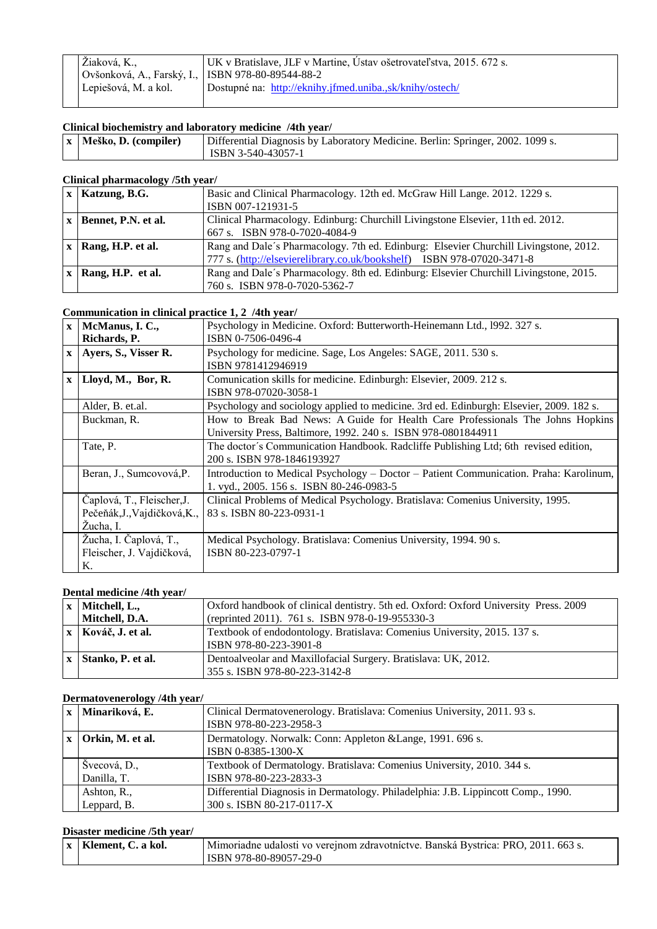| Žiaková, K.,                                        | UK v Bratislave, JLF v Martine, Ústav ošetrovateľstva, 2015. 672 s. |
|-----------------------------------------------------|---------------------------------------------------------------------|
| Ovšonková, A., Farský, I.,   ISBN 978-80-89544-88-2 |                                                                     |
| Lepiešová, M. a kol.                                | Dostupné na: http://eknihy.jfmed.uniba.,sk/knihy/ostech/            |
|                                                     |                                                                     |

**Clinical biochemistry and laboratory medicine /4th year/**<br> **Transformation (STA)** Differential Diagnosis by Laboration **Differential Diagnosis by Laboratory Medicine. Berlin: Springer, 2002. 1099 s.** ISBN 3-540-43057-1

#### **Clinical pharmacology /5th year/**

| $x$   Katzung, B.G. | Basic and Clinical Pharmacology. 12th ed. McGraw Hill Lange. 2012. 1229 s.            |
|---------------------|---------------------------------------------------------------------------------------|
|                     | ISBN 007-121931-5                                                                     |
| Bennet, P.N. et al. | Clinical Pharmacology. Edinburg: Churchill Livingstone Elsevier, 11th ed. 2012.       |
|                     | 667 s. ISBN 978-0-7020-4084-9                                                         |
| Rang, H.P. et al.   | Rang and Dale's Pharmacology. 7th ed. Edinburg: Elsevier Churchill Livingstone, 2012. |
|                     | 777 s. (http://elsevierelibrary.co.uk/bookshelf) ISBN 978-07020-3471-8                |
| Rang, H.P. et al.   | Rang and Dale's Pharmacology. 8th ed. Edinburg: Elsevier Churchill Livingstone, 2015. |
|                     | 760 s. ISBN 978-0-7020-5362-7                                                         |

#### **Communication in clinical practice 1, 2 /4th year/**

|              | $x$   McManus, I. C.,        | Psychology in Medicine. Oxford: Butterworth-Heinemann Ltd., 1992. 327 s.                |
|--------------|------------------------------|-----------------------------------------------------------------------------------------|
|              | Richards, P.                 | ISBN 0-7506-0496-4                                                                      |
|              | x   Ayers, S., Visser R.     | Psychology for medicine. Sage, Los Angeles: SAGE, 2011. 530 s.                          |
|              |                              | ISBN 9781412946919                                                                      |
| $\mathbf{X}$ | Lloyd, M., Bor, R.           | Comunication skills for medicine. Edinburgh: Elsevier, 2009. 212 s.                     |
|              |                              | ISBN 978-07020-3058-1                                                                   |
|              | Alder, B. et.al.             | Psychology and sociology applied to medicine. 3rd ed. Edinburgh: Elsevier, 2009. 182 s. |
|              | Buckman, R.                  | How to Break Bad News: A Guide for Health Care Professionals The Johns Hopkins          |
|              |                              | University Press, Baltimore, 1992. 240 s. ISBN 978-0801844911                           |
|              | Tate, P.                     | The doctor's Communication Handbook. Radcliffe Publishing Ltd; 6th revised edition,     |
|              |                              | 200 s. ISBN 978-1846193927                                                              |
|              | Beran, J., Sumcovová, P.     | Introduction to Medical Psychology – Doctor – Patient Communication. Praha: Karolinum,  |
|              |                              | 1. vyd., 2005. 156 s. ISBN 80-246-0983-5                                                |
|              | Čaplová, T., Fleischer, J.   | Clinical Problems of Medical Psychology. Bratislava: Comenius University, 1995.         |
|              | Pečeňák, J., Vajdičková, K., | 83 s. ISBN 80-223-0931-1                                                                |
|              | Žucha, I.                    |                                                                                         |
|              | Žucha, I. Čaplová, T.,       | Medical Psychology. Bratislava: Comenius University, 1994. 90 s.                        |
|              | Fleischer, J. Vajdičková,    | ISBN 80-223-0797-1                                                                      |
|              | Κ.                           |                                                                                         |

#### **Dental medicine /4th year/**

| $x$ Mitchell, L.,         | Oxford handbook of clinical dentistry. 5th ed. Oxford: Oxford University Press. 2009 |
|---------------------------|--------------------------------------------------------------------------------------|
| Mitchell, D.A.            | (reprinted 2011). 761 s. ISBN 978-0-19-955330-3                                      |
| $x \mid Kováč, J. et al.$ | Textbook of endodontology. Bratislava: Comenius University, 2015. 137 s.             |
|                           | ISBN 978-80-223-3901-8                                                               |
| x   Stanko, P. et al.     | Dentoalveolar and Maxillofacial Surgery. Bratislava: UK, 2012.                       |
|                           | 355 s. ISBN 978-80-223-3142-8                                                        |

## **Dermatovenerology /4th year/**

|              | $\sim$           |                                                                                   |
|--------------|------------------|-----------------------------------------------------------------------------------|
| $\mathbf{x}$ | Minariková, E.   | Clinical Dermatovenerology. Bratislava: Comenius University, 2011. 93 s.          |
|              |                  | ISBN 978-80-223-2958-3                                                            |
|              | Orkin, M. et al. | Dermatology. Norwalk: Conn: Appleton & Lange, 1991. 696 s.                        |
|              |                  | ISBN 0-8385-1300-X                                                                |
|              | Švecová, D.,     | Textbook of Dermatology. Bratislava: Comenius University, 2010. 344 s.            |
|              | Danilla, T.      | ISBN 978-80-223-2833-3                                                            |
|              | Ashton, R.,      | Differential Diagnosis in Dermatology. Philadelphia: J.B. Lippincott Comp., 1990. |
|              | Leppard, B.      | 300 s. ISBN 80-217-0117-X                                                         |

# **Disaster medicine /5th year/**

| $\vert x \vert$ Klement, C. a kol. | Mimoriadne udalosti vo verejnom zdravotníctve. Banská Bystrica: PRO, 2011. 663 s. |
|------------------------------------|-----------------------------------------------------------------------------------|
|                                    | ISBN 978-80-89057-29-0                                                            |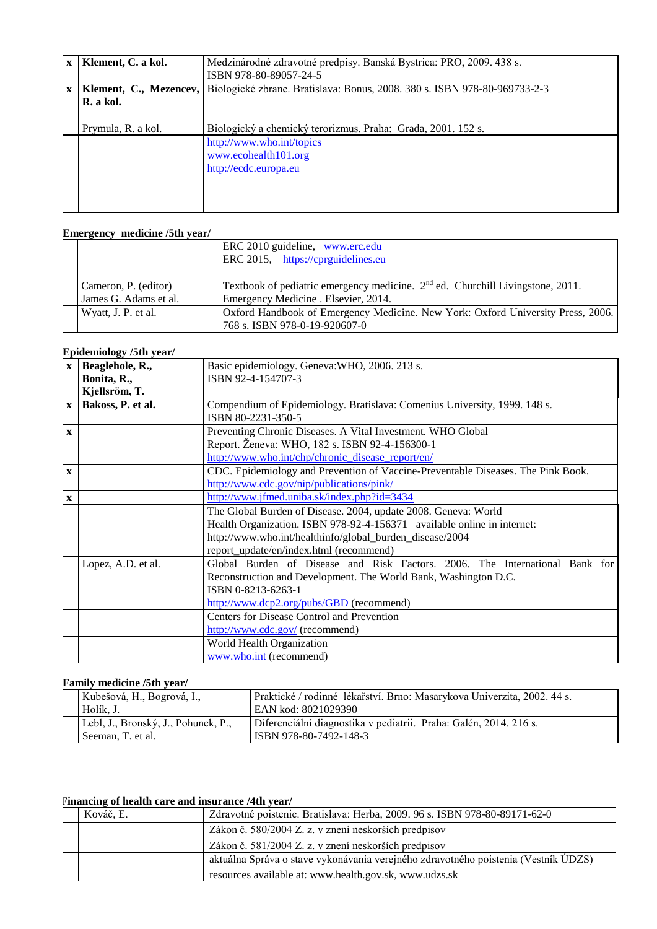| $\mathbf{x}$ | Klement, C. a kol.                  | Medzinárodné zdravotné predpisy. Banská Bystrica: PRO, 2009. 438 s.<br>ISBN 978-80-89057-24-5 |
|--------------|-------------------------------------|-----------------------------------------------------------------------------------------------|
| $\mathbf{x}$ | Klement, C., Mezencev,<br>R. a kol. | Biologické zbrane. Bratislava: Bonus, 2008. 380 s. ISBN 978-80-969733-2-3                     |
|              | Prymula, R. a kol.                  | Biologický a chemický terorizmus. Praha: Grada, 2001. 152 s.                                  |
|              |                                     | http://www.who.int/topics<br>www.ecohealth101.org<br>http://ecdc.europa.eu                    |

# **Emergency medicine /5th year/**

|                       | ERC 2010 guideline, www.erc.edu<br>ERC 2015, https://cprguidelines.eu            |
|-----------------------|----------------------------------------------------------------------------------|
| Cameron, P. (editor)  | Textbook of pediatric emergency medicine. $2nd$ ed. Churchill Livingstone, 2011. |
| James G. Adams et al. | Emergency Medicine . Elsevier, 2014.                                             |
| Wyatt, J. P. et al.   | Oxford Handbook of Emergency Medicine. New York: Oxford University Press, 2006.  |
|                       | 768 s. ISBN 978-0-19-920607-0                                                    |

# **Epidemiology /5th year/**

| $\mathbf{X}$ | Beaglehole, R.,    | Basic epidemiology. Geneva: WHO, 2006. 213 s.                                    |
|--------------|--------------------|----------------------------------------------------------------------------------|
|              | Bonita, R.,        | ISBN 92-4-154707-3                                                               |
|              | Kjellsröm, T.      |                                                                                  |
| $\mathbf{X}$ | Bakoss, P. et al.  | Compendium of Epidemiology. Bratislava: Comenius University, 1999. 148 s.        |
|              |                    | ISBN 80-2231-350-5                                                               |
| $\mathbf{x}$ |                    | Preventing Chronic Diseases. A Vital Investment. WHO Global                      |
|              |                    | Report. Ženeva: WHO, 182 s. ISBN 92-4-156300-1                                   |
|              |                    | http://www.who.int/chp/chronic disease report/en/                                |
| $\mathbf X$  |                    | CDC. Epidemiology and Prevention of Vaccine-Preventable Diseases. The Pink Book. |
|              |                    | http://www.cdc.gov/nip/publications/pink/                                        |
| $\mathbf{x}$ |                    | http://www.jfmed.uniba.sk/index.php?id=3434                                      |
|              |                    | The Global Burden of Disease. 2004, update 2008. Geneva: World                   |
|              |                    | Health Organization. ISBN 978-92-4-156371 available online in internet:          |
|              |                    | http://www.who.int/healthinfo/global_burden_disease/2004                         |
|              |                    | report_update/en/index.html (recommend)                                          |
|              | Lopez, A.D. et al. | Global Burden of Disease and Risk Factors. 2006. The International Bank for      |
|              |                    | Reconstruction and Development. The World Bank, Washington D.C.                  |
|              |                    | ISBN 0-8213-6263-1                                                               |
|              |                    | http://www.dcp2.org/pubs/GBD (recommend)                                         |
|              |                    | Centers for Disease Control and Prevention                                       |
|              |                    | http://www.cdc.gov/ (recommend)                                                  |
|              |                    | World Health Organization                                                        |
|              |                    | www.who.int (recommend)                                                          |

# **Family medicine /5th year/**

| Kubešová, H., Bogrová, I.,<br>Holík. J.                  | Praktické / rodinné lékařství. Brno: Masarykova Univerzita, 2002. 44 s.<br>EAN kod: 8021029390 |
|----------------------------------------------------------|------------------------------------------------------------------------------------------------|
| Lebl, J., Bronský, J., Pohunek, P.,<br>Seeman, T. et al. | Diferenciální diagnostika v pediatrii. Praha: Galén, 2014. 216 s.<br>ISBN 978-80-7492-148-3    |

# **Financing of health care and insurance /4th year/**

| Kováč. E. | Zdravotné poistenie. Bratislava: Herba, 2009. 96 s. ISBN 978-80-89171-62-0         |
|-----------|------------------------------------------------------------------------------------|
|           | Zákon č. 580/2004 Z. z. v znení neskorších predpisov                               |
|           | Zákon č. 581/2004 Z. z. v znení neskorších predpisov                               |
|           | aktuálna Správa o stave vykonávania verejného zdravotného poistenia (Vestník ÚDZS) |
|           | resources available at: www.health.gov.sk, www.udzs.sk                             |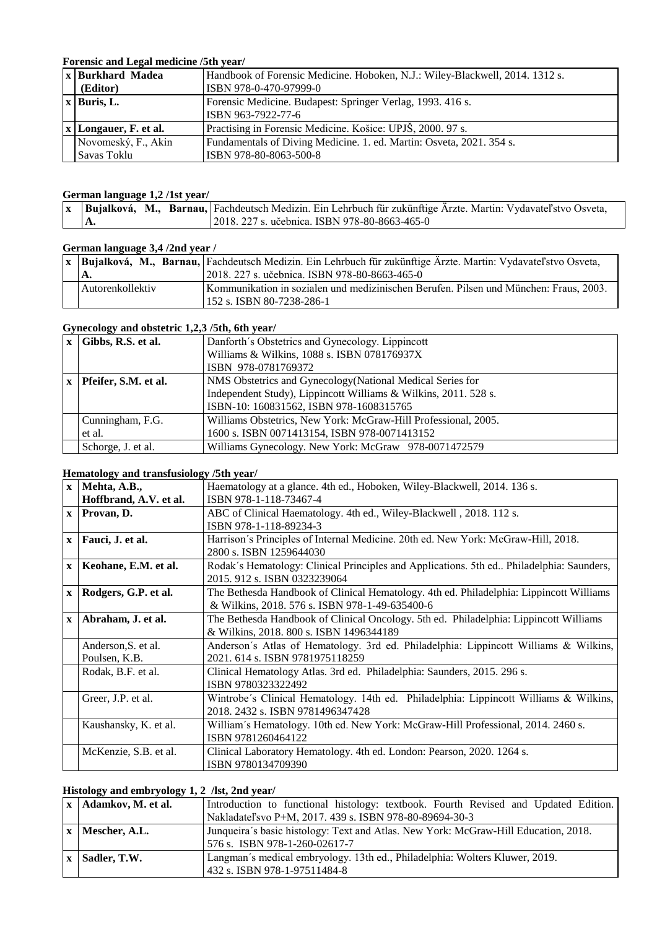# **Forensic and Legal medicine /5th year/**

| <b>x Burkhard Madea</b>   | Handbook of Forensic Medicine. Hoboken, N.J.: Wiley-Blackwell, 2014. 1312 s. |
|---------------------------|------------------------------------------------------------------------------|
| (Editor)                  | ISBN 978-0-470-97999-0                                                       |
| $\vert x \vert$ Buris, L. | Forensic Medicine. Budapest: Springer Verlag, 1993. 416 s.                   |
|                           | ISBN 963-7922-77-6                                                           |
| x   Longauer, F. et al.   | Practising in Forensic Medicine. Košice: UPJŠ, 2000. 97 s.                   |
| Novomeský, F., Akin       | Fundamentals of Diving Medicine. 1. ed. Martin: Osveta, 2021. 354 s.         |
| Savas Toklu               | ISBN 978-80-8063-500-8                                                       |

#### **German language 1,2 /1st year/**

|  | <b>x</b> Bujalková, M., Barnau, Fachdeutsch Medizin. Ein Lehrbuch für zukünftige Ärzte. Martin: Vydavatel'stvo Osveta, |
|--|------------------------------------------------------------------------------------------------------------------------|
|  |                                                                                                                        |
|  | 2018. 227 s. učebnica. ISBN 978-80-8663-465-0                                                                          |

# **German language 3,4 /2nd year /**

|                  | $\mathbf{x}$ Bujalková, M., Barnau, Fachdeutsch Medizin. Ein Lehrbuch für zukünftige Ärzte. Martin: Vydavateľstvo Osveta, |
|------------------|---------------------------------------------------------------------------------------------------------------------------|
| А,               | 12018, 227 s. učebnica. ISBN 978-80-8663-465-0                                                                            |
| Autorenkollektiv | Kommunikation in sozialen und medizinischen Berufen. Pilsen und München: Fraus, 2003.                                     |
|                  | 152 s. ISBN 80-7238-286-1                                                                                                 |

# **Gynecology and obstetric 1,2,3 /5th, 6th year/**

| $\mathbf{x}$ | Gibbs, R.S. et al.   | Danforth's Obstetrics and Gynecology. Lippincott                |
|--------------|----------------------|-----------------------------------------------------------------|
|              |                      | Williams & Wilkins, 1088 s. ISBN 078176937X                     |
|              |                      | ISBN 978-0781769372                                             |
| $\mathbf{x}$ | Pfeifer, S.M. et al. | NMS Obstetrics and Gynecology (National Medical Series for      |
|              |                      | Independent Study), Lippincott Williams & Wilkins, 2011. 528 s. |
|              |                      | ISBN-10: 160831562, ISBN 978-1608315765                         |
|              | Cunningham, F.G.     | Williams Obstetrics, New York: McGraw-Hill Professional, 2005.  |
|              | et al.               | 1600 s. ISBN 0071413154, ISBN 978-0071413152                    |
|              | Schorge, J. et al.   | Williams Gynecology. New York: McGraw 978-0071472579            |

## **Hematology and transfusiology /5th year/**

| $\mathbf{X}$ | Mehta, A.B.,           | Haematology at a glance. 4th ed., Hoboken, Wiley-Blackwell, 2014. 136 s.                 |
|--------------|------------------------|------------------------------------------------------------------------------------------|
|              | Hoffbrand, A.V. et al. | ISBN 978-1-118-73467-4                                                                   |
| $\mathbf{X}$ | Provan, D.             | ABC of Clinical Haematology. 4th ed., Wiley-Blackwell, 2018. 112 s.                      |
|              |                        | ISBN 978-1-118-89234-3                                                                   |
| $\mathbf{X}$ | Fauci, J. et al.       | Harrison's Principles of Internal Medicine. 20th ed. New York: McGraw-Hill, 2018.        |
|              |                        | 2800 s. ISBN 1259644030                                                                  |
| $\mathbf{X}$ | Keohane, E.M. et al.   | Rodak's Hematology: Clinical Principles and Applications. 5th ed Philadelphia: Saunders, |
|              |                        | 2015, 912 s. ISBN 0323239064                                                             |
| $\mathbf{X}$ | Rodgers, G.P. et al.   | The Bethesda Handbook of Clinical Hematology. 4th ed. Philadelphia: Lippincott Williams  |
|              |                        | & Wilkins, 2018. 576 s. ISBN 978-1-49-635400-6                                           |
| $\mathbf{X}$ | Abraham, J. et al.     | The Bethesda Handbook of Clinical Oncology. 5th ed. Philadelphia: Lippincott Williams    |
|              |                        | & Wilkins, 2018. 800 s. ISBN 1496344189                                                  |
|              | Anderson, S. et al.    | Anderson's Atlas of Hematology. 3rd ed. Philadelphia: Lippincott Williams & Wilkins,     |
|              | Poulsen, K.B.          | 2021. 614 s. ISBN 9781975118259                                                          |
|              | Rodak, B.F. et al.     | Clinical Hematology Atlas. 3rd ed. Philadelphia: Saunders, 2015. 296 s.                  |
|              |                        | ISBN 9780323322492                                                                       |
|              | Greer, J.P. et al.     | Wintrobe's Clinical Hematology. 14th ed. Philadelphia: Lippincott Williams & Wilkins,    |
|              |                        | 2018. 2432 s. ISBN 9781496347428                                                         |
|              | Kaushansky, K. et al.  | William's Hematology. 10th ed. New York: McGraw-Hill Professional, 2014. 2460 s.         |
|              |                        | ISBN 9781260464122                                                                       |
|              | McKenzie, S.B. et al.  | Clinical Laboratory Hematology. 4th ed. London: Pearson, 2020. 1264 s.                   |
|              |                        | ISBN 9780134709390                                                                       |

# **Histology and embryology 1, 2 /lst, 2nd year/**

| $x$   Adamkov, M. et al. | Introduction to functional histology: textbook. Fourth Revised and Updated Edition. |
|--------------------------|-------------------------------------------------------------------------------------|
|                          | Nakladateľsvo P+M, 2017. 439 s. ISBN 978-80-89694-30-3                              |
| $x \mid$ Mescher, A.L.   | Junqueira's basic histology: Text and Atlas. New York: McGraw-Hill Education, 2018. |
|                          | 576 s. ISBN 978-1-260-02617-7                                                       |
| $x$ Sadler, T.W.         | Langman's medical embryology. 13th ed., Philadelphia: Wolters Kluwer, 2019.         |
|                          | 432 s. ISBN 978-1-97511484-8                                                        |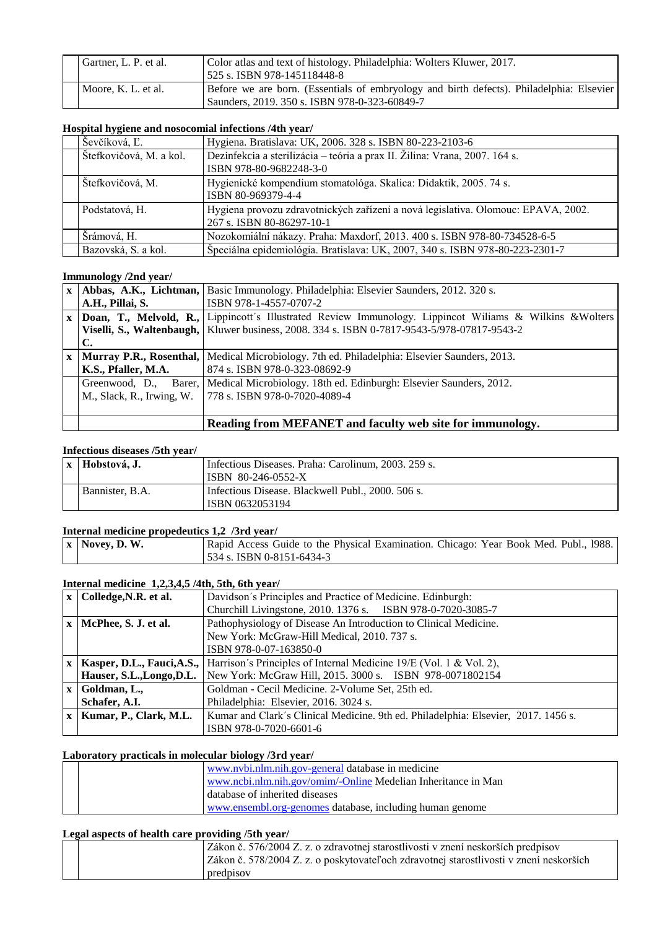| Gartner, L. P. et al. | Color atlas and text of histology. Philadelphia: Wolters Kluwer, 2017.<br>525 s. ISBN 978-145118448-8                                     |
|-----------------------|-------------------------------------------------------------------------------------------------------------------------------------------|
| Moore, K. L. et al.   | Before we are born. (Essentials of embryology and birth defects). Philadelphia: Elsevier<br>Saunders, 2019. 350 s. ISBN 978-0-323-60849-7 |

## **Hospital hygiene and nosocomial infections /4th year/**

| ---, <b>-----</b>       |                                                                                                                |
|-------------------------|----------------------------------------------------------------------------------------------------------------|
| Ševčíková, Ľ.           | Hygiena. Bratislava: UK, 2006. 328 s. ISBN 80-223-2103-6                                                       |
| Štefkovičová, M. a kol. | Dezinfekcia a sterilizácia - teória a prax II. Žilina: Vrana, 2007. 164 s.<br>ISBN 978-80-9682248-3-0          |
| Štefkovičová, M.        | Hygienické kompendium stomatológa. Skalica: Didaktik, 2005. 74 s.<br>ISBN 80-969379-4-4                        |
| Podstatová, H.          | Hygiena provozu zdravotnických zařízení a nová legislativa. Olomouc: EPAVA, 2002.<br>267 s. ISBN 80-86297-10-1 |
| Šrámová, H.             | Nozokomiální nákazy. Praha: Maxdorf, 2013. 400 s. ISBN 978-80-734528-6-5                                       |
| Bazovská, S. a kol.     | Špeciálna epidemiológia. Bratislava: UK, 2007, 340 s. ISBN 978-80-223-2301-7                                   |

#### **Immunology /2nd year/**

| $\mathbf{x}$ |                           | Abbas, A.K., Lichtman, Basic Immunology. Philadelphia: Elsevier Saunders, 2012. 320 s.                    |
|--------------|---------------------------|-----------------------------------------------------------------------------------------------------------|
|              | A.H., Pillai, S.          | ISBN 978-1-4557-0707-2                                                                                    |
|              |                           | Doan, T., Melvold, R., Lippincott's Illustrated Review Immunology. Lippincot Williams & Wilkins & Wolters |
|              |                           | Viselli, S., Waltenbaugh,   Kluwer business, 2008. 334 s. ISBN 0-7817-9543-5/978-07817-9543-2             |
|              | C.                        |                                                                                                           |
| $\mathbf{x}$ | Murray P.R., Rosenthal,   | Medical Microbiology. 7th ed. Philadelphia: Elsevier Saunders, 2013.                                      |
|              | K.S., Pfaller, M.A.       | 874 s. ISBN 978-0-323-08692-9                                                                             |
|              | Greenwood, D.,            | Barer,   Medical Microbiology. 18th ed. Edinburgh: Elsevier Saunders, 2012.                               |
|              | M., Slack, R., Irwing, W. | 778 s. ISBN 978-0-7020-4089-4                                                                             |
|              |                           |                                                                                                           |
|              |                           | Reading from MEFANET and faculty web site for immunology.                                                 |

#### **Infectious diseases /5th year/**

| x   Hobstová, J. | Infectious Diseases. Praha: Carolinum, 2003. 259 s. |
|------------------|-----------------------------------------------------|
|                  | ISBN 80-246-0552-X                                  |
| Bannister, B.A.  | Infectious Disease. Blackwell Publ., 2000. 506 s.   |
|                  | ISBN 0632053194                                     |

## **Internal medicine propedeutics 1,2 /3rd year/**

| $\vert x \vert$ Novey, D. W. | Rapid Access Guide to the Physical Examination. Chicago: Year Book Med. Publ., 1988. |  |
|------------------------------|--------------------------------------------------------------------------------------|--|
|                              | 1534 s. ISBN 0-8151-6434-3                                                           |  |

## **Internal medicine 1,2,3,4,5 /4th, 5th, 6th year/**

| $\mathbf{x}$ | Colledge, N.R. et al.     | Davidson's Principles and Practice of Medicine. Edinburgh:                                           |
|--------------|---------------------------|------------------------------------------------------------------------------------------------------|
|              |                           | Churchill Livingstone, 2010. 1376 s. ISBN 978-0-7020-3085-7                                          |
| $\mathbf{x}$ | McPhee, S. J. et al.      | Pathophysiology of Disease An Introduction to Clinical Medicine.                                     |
|              |                           | New York: McGraw-Hill Medical, 2010. 737 s.                                                          |
|              |                           | ISBN 978-0-07-163850-0                                                                               |
| $\mathbf{X}$ |                           | <b>Kasper, D.L., Fauci, A.S.,</b> Harrison's Principles of Internal Medicine 19/E (Vol. 1 & Vol. 2), |
|              | Hauser, S.L., Longo, D.L. | New York: McGraw Hill, 2015. 3000 s. ISBN 978-0071802154                                             |
| $\mathbf{x}$ | Goldman, L.,              | Goldman - Cecil Medicine. 2-Volume Set, 25th ed.                                                     |
|              | Schafer, A.I.             | Philadelphia: Elsevier, 2016. 3024 s.                                                                |
| $\mathbf{x}$ | Kumar, P., Clark, M.L.    | Kumar and Clark's Clinical Medicine. 9th ed. Philadelphia: Elsevier, 2017. 1456 s.                   |
|              |                           | ISBN 978-0-7020-6601-6                                                                               |

## **Laboratory practicals in molecular biology /3rd year/**

|  | www.nybi.nlm.nih.gov-general database in medicine             |
|--|---------------------------------------------------------------|
|  | www.ncbi.nlm.nih.gov/omim/-Online Medelian Inheritance in Man |
|  | database of inherited diseases                                |
|  | www.ensembl.org-genomes database, including human genome      |

## **Legal aspects of health care providing /5th year/**

| Zákon č. 576/2004 Z. z. o zdravotnej starostlivosti v znení neskorších predpisov<br>Zákon č. 578/2004 Z. z. o poskytovateľoch zdravotnej starostlivosti v znení neskorších<br>predpisov |  |
|-----------------------------------------------------------------------------------------------------------------------------------------------------------------------------------------|--|
|-----------------------------------------------------------------------------------------------------------------------------------------------------------------------------------------|--|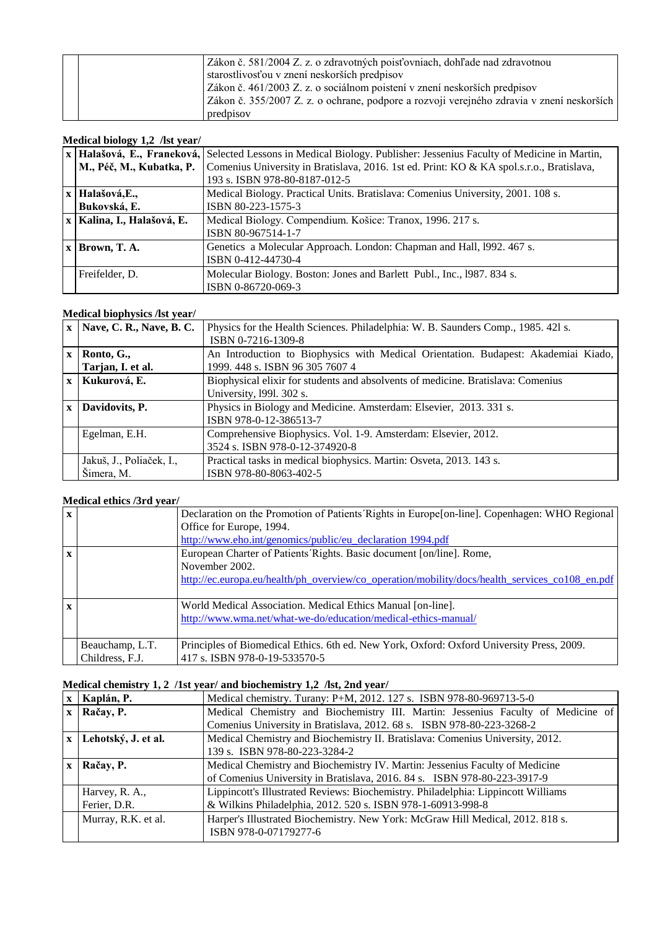| Zákon č. 581/2004 Z. z. o zdravotných poisťovniach, dohľade nad zdravotnou                |  |
|-------------------------------------------------------------------------------------------|--|
| starostlivosťou v znení neskorších predpisov                                              |  |
|                                                                                           |  |
| Zákon č. 461/2003 Z. z. o sociálnom poistení v znení neskorších predpisov                 |  |
| Zákon č. 355/2007 Z. z. o ochrane, podpore a rozvoji verejného zdravia v znení neskorších |  |
| predpisov                                                                                 |  |

# **Medical biology 1,2 /lst year/**

|                              | x   Halašová, E., Francková, Selected Lessons in Medical Biology. Publisher: Jessenius Faculty of Medicine in Martin, |
|------------------------------|-----------------------------------------------------------------------------------------------------------------------|
|                              |                                                                                                                       |
| M., Péč, M., Kubatka, P.     | Comenius University in Bratislava, 2016. 1st ed. Print: KO & KA spol.s.r.o., Bratislava,                              |
|                              | 193 s. ISBN 978-80-8187-012-5                                                                                         |
| x Halašová, E.,              | Medical Biology. Practical Units. Bratislava: Comenius University, 2001. 108 s.                                       |
| Bukovská, E.                 | ISBN 80-223-1575-3                                                                                                    |
| x   Kalina, I., Halašová, E. | Medical Biology. Compendium. Košice: Tranox, 1996. 217 s.                                                             |
|                              | ISBN 80-967514-1-7                                                                                                    |
| $x$ Brown, T. A.             | Genetics a Molecular Approach. London: Chapman and Hall, 1992. 467 s.                                                 |
|                              | ISBN 0-412-44730-4                                                                                                    |
| Freifelder, D.               | Molecular Biology. Boston: Jones and Barlett Publ., Inc., 1987. 834 s.                                                |
|                              | ISBN 0-86720-069-3                                                                                                    |

# **Medical biophysics /lst year/**

|              | $x$   Nave, C. R., Nave, B. C.         | Physics for the Health Sciences. Philadelphia: W. B. Saunders Comp., 1985. 421 s.<br>ISBN 0-7216-1309-8               |
|--------------|----------------------------------------|-----------------------------------------------------------------------------------------------------------------------|
| $\mathbf{x}$ | Ronto, G.,<br>Tarjan, I. et al.        | An Introduction to Biophysics with Medical Orientation. Budapest: Akademiai Kiado,<br>1999. 448 s. ISBN 96 305 7607 4 |
| $\mathbf{x}$ | Kukurová, E.                           | Biophysical elixir for students and absolvents of medicine. Bratislava: Comenius<br>University, 1991. 302 s.          |
| $\mathbf{x}$ | Davidovits, P.                         | Physics in Biology and Medicine. Amsterdam: Elsevier, 2013. 331 s.<br>ISBN 978-0-12-386513-7                          |
|              | Egelman, E.H.                          | Comprehensive Biophysics. Vol. 1-9. Amsterdam: Elsevier, 2012.<br>3524 s. ISBN 978-0-12-374920-8                      |
|              | Jakuš, J., Poliaček, I.,<br>Šimera, M. | Practical tasks in medical biophysics. Martin: Osveta, 2013. 143 s.<br>ISBN 978-80-8063-402-5                         |

## **Medical ethics /3rd year/**

| $\mathbf{x}$ |                 | Declaration on the Promotion of Patients Rights in Europe [on-line]. Copenhagen: WHO Regional  |
|--------------|-----------------|------------------------------------------------------------------------------------------------|
|              |                 | Office for Europe, 1994.                                                                       |
|              |                 | http://www.eho.int/genomics/public/eu declaration 1994.pdf                                     |
| $\mathbf{x}$ |                 | European Charter of Patients' Rights. Basic document [on/line]. Rome,                          |
|              |                 | November 2002.                                                                                 |
|              |                 | http://ec.europa.eu/health/ph_overview/co_operation/mobility/docs/health_services_co108_en.pdf |
|              |                 |                                                                                                |
| $\mathbf{x}$ |                 | World Medical Association. Medical Ethics Manual [on-line].                                    |
|              |                 | http://www.wma.net/what-we-do/education/medical-ethics-manual/                                 |
|              |                 |                                                                                                |
|              | Beauchamp, L.T. | Principles of Biomedical Ethics. 6th ed. New York, Oxford: Oxford University Press, 2009.      |
|              | Childress, F.J. | 417 s. ISBN 978-0-19-533570-5                                                                  |

# **Medical chemistry 1, 2 /1st year/ and biochemistry 1,2 /lst, 2nd year/**

|              | Kaplán, P.              | Medical chemistry. Turany: P+M, 2012. 127 s. ISBN 978-80-969713-5-0                                     |
|--------------|-------------------------|---------------------------------------------------------------------------------------------------------|
|              | $x   Ra\check{c}ay, P.$ | Medical Chemistry and Biochemistry III. Martin: Jessenius Faculty of Medicine of                        |
|              |                         | Comenius University in Bratislava, 2012. 68 s. ISBN 978-80-223-3268-2                                   |
|              | x Lehotský, J. et al.   | Medical Chemistry and Biochemistry II. Bratislava: Comenius University, 2012.                           |
|              |                         | 139 s. ISBN 978-80-223-3284-2                                                                           |
| $\mathbf{x}$ | Račay, P.               | Medical Chemistry and Biochemistry IV. Martin: Jessenius Faculty of Medicine                            |
|              |                         | of Comenius University in Bratislava, 2016. 84 s. ISBN 978-80-223-3917-9                                |
|              | Harvey, R. A.,          | Lippincott's Illustrated Reviews: Biochemistry. Philadelphia: Lippincott Williams                       |
|              | Ferier, D.R.            | & Wilkins Philadelphia, 2012. 520 s. ISBN 978-1-60913-998-8                                             |
|              | Murray, R.K. et al.     | Harper's Illustrated Biochemistry. New York: McGraw Hill Medical, 2012. 818 s.<br>ISBN 978-0-07179277-6 |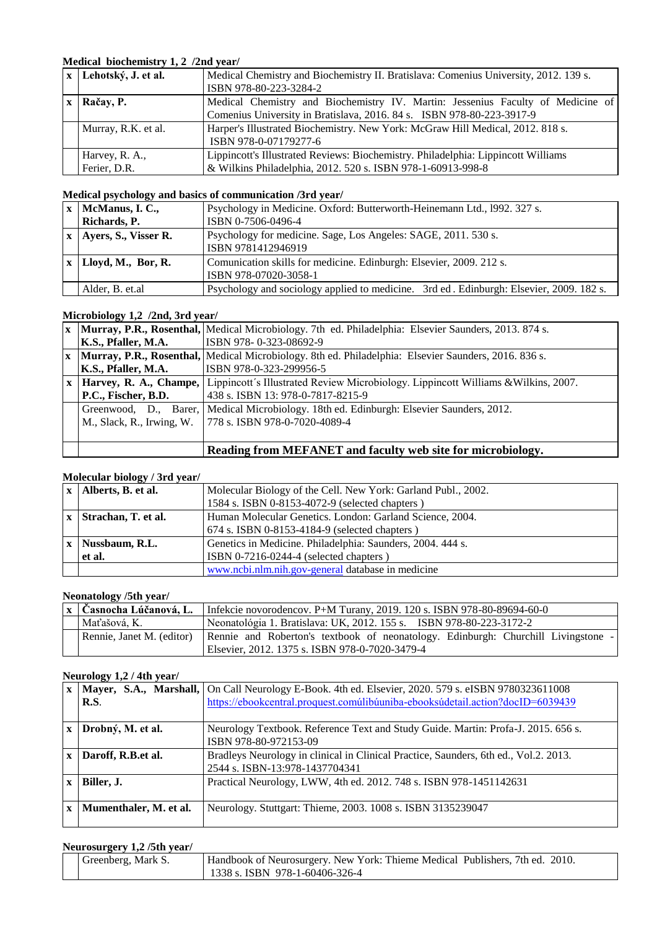# **Medical biochemistry 1, 2 /2nd year/**

| x Lehotský, J. et al. | Medical Chemistry and Biochemistry II. Bratislava: Comenius University, 2012. 139 s. |
|-----------------------|--------------------------------------------------------------------------------------|
|                       | ISBN 978-80-223-3284-2                                                               |
| Račay, P.             | Medical Chemistry and Biochemistry IV. Martin: Jessenius Faculty of Medicine of      |
|                       | Comenius University in Bratislava, 2016. 84 s. ISBN 978-80-223-3917-9                |
| Murray, R.K. et al.   | Harper's Illustrated Biochemistry. New York: McGraw Hill Medical, 2012. 818 s.       |
|                       | ISBN 978-0-07179277-6                                                                |
| Harvey, R. A.,        | Lippincott's Illustrated Reviews: Biochemistry. Philadelphia: Lippincott Williams    |
| Ferier, D.R.          | & Wilkins Philadelphia, 2012. 520 s. ISBN 978-1-60913-998-8                          |

# **Medical psychology and basics of communication /3rd year/**

| $x \mid \text{McManus}, I, C.,$ | Psychology in Medicine. Oxford: Butterworth-Heinemann Ltd., 1992. 327 s.                |
|---------------------------------|-----------------------------------------------------------------------------------------|
| Richards, P.                    | ISBN 0-7506-0496-4                                                                      |
| Ayers, S., Visser R.            | Psychology for medicine. Sage, Los Angeles: SAGE, 2011. 530 s.                          |
|                                 | ISBN 9781412946919                                                                      |
| $x \mid Lloyd, M., Bor, R.$     | Comunication skills for medicine. Edinburgh: Elsevier, 2009. 212 s.                     |
|                                 | ISBN 978-07020-3058-1                                                                   |
| Alder, B. et.al                 | Psychology and sociology applied to medicine. 3rd ed. Edinburgh: Elsevier, 2009. 182 s. |

### **Microbiology 1,2 /2nd, 3rd year/**

|              |                           | <b>x</b>   Murray, P.R., Rosenthal,   Medical Microbiology. 7th ed. Philadelphia: Elsevier Saunders, 2013. 874 s. |
|--------------|---------------------------|-------------------------------------------------------------------------------------------------------------------|
|              | K.S., Pfaller, M.A.       | ISBN 978-0-323-08692-9                                                                                            |
|              |                           | x   Murray, P.R., Rosenthal,   Medical Microbiology. 8th ed. Philadelphia: Elsevier Saunders, 2016. 836 s.        |
|              | K.S., Pfaller, M.A.       | ISBN 978-0-323-299956-5                                                                                           |
| $\mathbf{X}$ |                           | Harvey, R. A., Champe, Lippincott's Illustrated Review Microbiology. Lippincott Williams & Wilkins, 2007.         |
|              | P.C., Fischer, B.D.       | 438 s. ISBN 13: 978-0-7817-8215-9                                                                                 |
|              |                           | Greenwood, D., Barer,   Medical Microbiology. 18th ed. Edinburgh: Elsevier Saunders, 2012.                        |
|              | M., Slack, R., Irwing, W. | 1778 s. ISBN 978-0-7020-4089-4                                                                                    |
|              |                           |                                                                                                                   |
|              |                           | Reading from MEFANET and faculty web site for microbiology.                                                       |

#### **Molecular biology / 3rd year/**

|              | $x$   Alberts, B. et al. | Molecular Biology of the Cell. New York: Garland Publ., 2002. |
|--------------|--------------------------|---------------------------------------------------------------|
|              |                          |                                                               |
|              |                          | 1584 s. ISBN 0-8153-4072-9 (selected chapters)                |
| $\mathbf{x}$ | Strachan, T. et al.      | Human Molecular Genetics. London: Garland Science, 2004.      |
|              |                          | 674 s. ISBN 0-8153-4184-9 (selected chapters)                 |
| $\mathbf{x}$ | Nussbaum, R.L.           | Genetics in Medicine. Philadelphia: Saunders, 2004. 444 s.    |
|              | et al.                   | ISBN 0-7216-0244-4 (selected chapters)                        |
|              |                          | www.ncbi.nlm.nih.gov-general database in medicine             |

# **Neonatology /5th year/**

| <b>x</b> Časnocha Lúčanová, L. | Infekcie novorodencov. P+M Turany, 2019. 120 s. ISBN 978-80-89694-60-0            |
|--------------------------------|-----------------------------------------------------------------------------------|
| Maťašová. K.                   | Neonatológia 1. Bratislava: UK, 2012. 155 s. ISBN 978-80-223-3172-2               |
| Rennie, Janet M. (editor)      | Rennie and Roberton's textbook of neonatology. Edinburgh: Churchill Livingstone - |
|                                | Elsevier, 2012. 1375 s. ISBN 978-0-7020-3479-4                                    |

#### **Neurology 1,2 / 4th year/**

|              |                        | Mayer, S.A., Marshall, On Call Neurology E-Book. 4th ed. Elsevier, 2020. 579 s. eISBN 9780323611008 |
|--------------|------------------------|-----------------------------------------------------------------------------------------------------|
|              | <b>R.S.</b>            | https://ebookcentral.proquest.comúlibúuniba-ebooksúdetail.action?docID=6039439                      |
|              |                        |                                                                                                     |
| $\mathbf{x}$ | Drobný, M. et al.      | Neurology Textbook. Reference Text and Study Guide. Martin: Profa-J. 2015. 656 s.                   |
|              |                        | ISBN 978-80-972153-09                                                                               |
| $\mathbf{x}$ | Daroff, R.B.et al.     | Bradleys Neurology in clinical in Clinical Practice, Saunders, 6th ed., Vol.2. 2013.                |
|              |                        | 2544 s. ISBN-13:978-1437704341                                                                      |
| $\mathbf{x}$ | Biller, J.             | Practical Neurology, LWW, 4th ed. 2012. 748 s. ISBN 978-1451142631                                  |
|              |                        |                                                                                                     |
| $\mathbf{x}$ | Mumenthaler, M. et al. | Neurology. Stuttgart: Thieme, 2003. 1008 s. ISBN 3135239047                                         |
|              |                        |                                                                                                     |

## **Neurosurgery 1,2 /5th year/**

| Greenberg, Mark S. | Handbook of Neurosurgery. New York: Thieme Medical Publishers, 7th ed. 2010. |
|--------------------|------------------------------------------------------------------------------|
|                    | 1338 s. ISBN 978-1-60406-326-4                                               |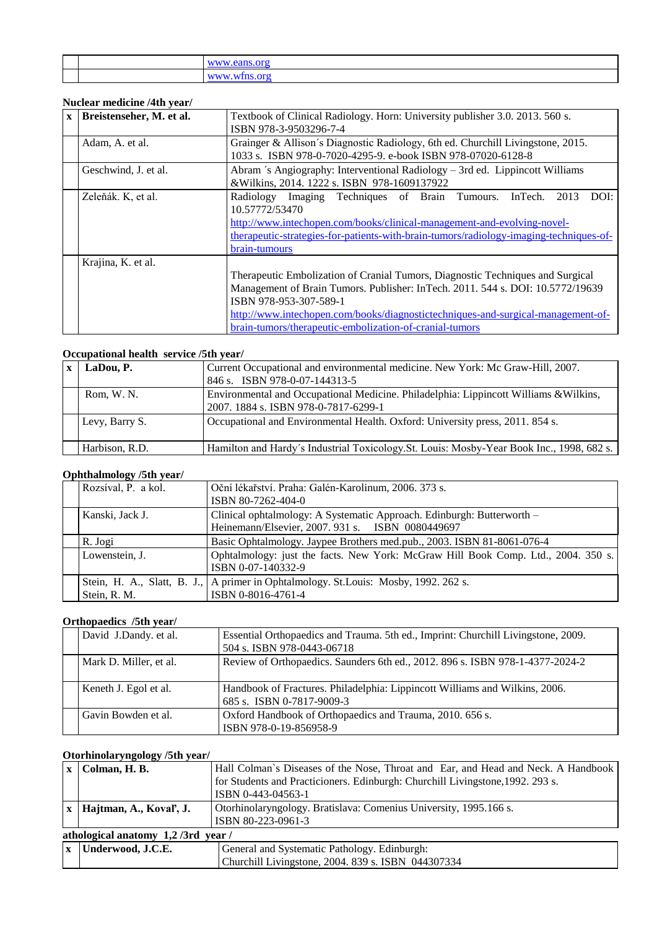#### **Nuclear medicine /4th year/**

| $\mathbf{X}$ | Breistenseher, M. et al. | Textbook of Clinical Radiology. Horn: University publisher 3.0. 2013. 560 s.<br>ISBN 978-3-9503296-7-4                                                                                                                                                                                                                                    |
|--------------|--------------------------|-------------------------------------------------------------------------------------------------------------------------------------------------------------------------------------------------------------------------------------------------------------------------------------------------------------------------------------------|
|              | Adam, A. et al.          | Grainger & Allison's Diagnostic Radiology, 6th ed. Churchill Livingstone, 2015.<br>1033 s. ISBN 978-0-7020-4295-9. e-book ISBN 978-07020-6128-8                                                                                                                                                                                           |
|              | Geschwind, J. et al.     | Abram 's Angiography: Interventional Radiology – 3rd ed. Lippincott Williams<br>&Wilkins, 2014. 1222 s. ISBN 978-1609137922                                                                                                                                                                                                               |
|              | Zeleňák. K, et al.       | Radiology Imaging Techniques of Brain Tumours.<br>InTech.<br>DOI:<br>2013<br>10.57772/53470<br>http://www.intechopen.com/books/clinical-management-and-evolving-novel-<br>therapeutic-strategies-for-patients-with-brain-tumors/radiology-imaging-techniques-of-<br>brain-tumours                                                         |
|              | Krajina, K. et al.       | Therapeutic Embolization of Cranial Tumors, Diagnostic Techniques and Surgical<br>Management of Brain Tumors. Publisher: InTech. 2011. 544 s. DOI: 10.5772/19639<br>ISBN 978-953-307-589-1<br>http://www.intechopen.com/books/diagnostictechniques-and-surgical-management-of-<br>brain-tumors/therapeutic-embolization-of-cranial-tumors |

# **Occupational health service /5th year/**

| LaDou, P.      | Current Occupational and environmental medicine. New York: Mc Graw-Hill, 2007.<br>846 s. ISBN 978-0-07-144313-5               |
|----------------|-------------------------------------------------------------------------------------------------------------------------------|
| Rom, W. N.     | Environmental and Occupational Medicine. Philadelphia: Lippincott Williams & Wilkins,<br>2007. 1884 s. ISBN 978-0-7817-6299-1 |
| Levy, Barry S. | Occupational and Environmental Health. Oxford: University press, 2011. 854 s.                                                 |
| Harbison, R.D. | Hamilton and Hardy's Industrial Toxicology.St. Louis: Mosby-Year Book Inc., 1998, 682 s.                                      |

## **Ophthalmology /5th year/**

| $-9.7 + - - - -$<br>Rozsíval, P. a kol. | Oční lékařství. Praha: Galén-Karolinum, 2006. 373 s.                                 |
|-----------------------------------------|--------------------------------------------------------------------------------------|
|                                         | ISBN 80-7262-404-0                                                                   |
| Kanski, Jack J.                         | Clinical ophtalmology: A Systematic Approach. Edinburgh: Butterworth –               |
|                                         | Heinemann/Elsevier, 2007. 931 s. ISBN 0080449697                                     |
| R. Jogi                                 | Basic Ophtalmology. Jaypee Brothers med.pub., 2003. ISBN 81-8061-076-4               |
| Lowenstein, J.                          | Ophtalmology: just the facts. New York: McGraw Hill Book Comp. Ltd., 2004. 350 s.    |
|                                         | ISBN 0-07-140332-9                                                                   |
|                                         | Stein, H. A., Slatt, B. J., A primer in Ophtalmology. St. Louis: Mosby, 1992. 262 s. |
| Stein, R. M.                            | ISBN 0-8016-4761-4                                                                   |

# **Orthopaedics /5th year/**

| David J.Dandy. et al.  | Essential Orthopaedics and Trauma. 5th ed., Imprint: Churchill Livingstone, 2009.<br>504 s. ISBN 978-0443-06718 |
|------------------------|-----------------------------------------------------------------------------------------------------------------|
| Mark D. Miller, et al. | Review of Orthopaedics. Saunders 6th ed., 2012. 896 s. ISBN 978-1-4377-2024-2                                   |
| Keneth J. Egol et al.  | Handbook of Fractures. Philadelphia: Lippincott Williams and Wilkins, 2006.<br>685 s. ISBN 0-7817-9009-3        |
| Gavin Bowden et al.    | Oxford Handbook of Orthopaedics and Trauma, 2010. 656 s.<br>ISBN 978-0-19-856958-9                              |

# **Otorhinolaryngology /5th year/**

| $x \mid \text{Column}, \text{H}, \text{B}.$ | Hall Colman's Diseases of the Nose, Throat and Ear, and Head and Neck. A Handbook |  |
|---------------------------------------------|-----------------------------------------------------------------------------------|--|
|                                             | for Students and Practicioners. Edinburgh: Churchill Livingstone, 1992. 293 s.    |  |
|                                             | ISBN 0-443-04563-1                                                                |  |
| $x$   Hajtman, A., Koval', J.               | Otorhinolaryngology. Bratislava: Comenius University, 1995.166 s.                 |  |
|                                             | ISBN 80-223-0961-3                                                                |  |
| athological anatomy 1,2/3rd year/           |                                                                                   |  |
| $x$ Underwood, J.C.E.                       | General and Systematic Pathology. Edinburgh:                                      |  |
|                                             | Churchill Livingstone, 2004. 839 s. ISBN 044307334                                |  |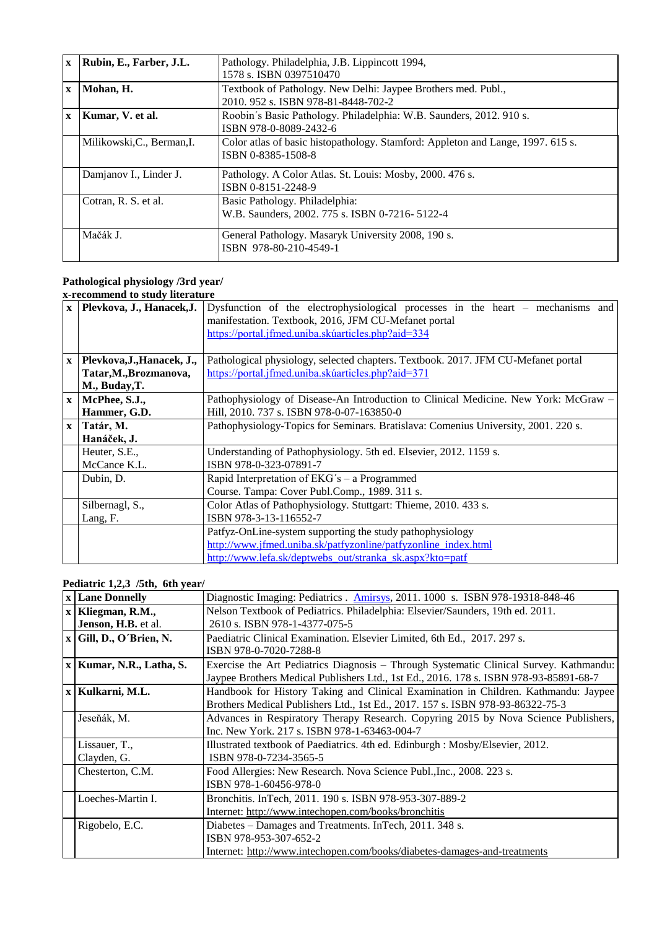| $\mathbf{x}$ | Rubin, E., Farber, J.L.    | Pathology. Philadelphia, J.B. Lippincott 1994,                                  |
|--------------|----------------------------|---------------------------------------------------------------------------------|
|              |                            | 1578 s. ISBN 0397510470                                                         |
| $\mathbf{x}$ | Mohan, H.                  | Textbook of Pathology. New Delhi: Jaypee Brothers med. Publ.,                   |
|              |                            | 2010. 952 s. ISBN 978-81-8448-702-2                                             |
| $\mathbf{x}$ | Kumar, V. et al.           | Roobin's Basic Pathology. Philadelphia: W.B. Saunders, 2012. 910 s.             |
|              |                            | ISBN 978-0-8089-2432-6                                                          |
|              | Milikowski, C., Berman, I. | Color atlas of basic histopathology. Stamford: Appleton and Lange, 1997. 615 s. |
|              |                            | ISBN 0-8385-1508-8                                                              |
|              | Damjanov I., Linder J.     | Pathology. A Color Atlas. St. Louis: Mosby, 2000. 476 s.                        |
|              |                            | ISBN 0-8151-2248-9                                                              |
|              | Cotran, R. S. et al.       | Basic Pathology. Philadelphia:                                                  |
|              |                            | W.B. Saunders, 2002. 775 s. ISBN 0-7216-5122-4                                  |
|              | Mačák J.                   | General Pathology. Masaryk University 2008, 190 s.                              |
|              |                            | ISBN 978-80-210-4549-1                                                          |

#### **Pathological physiology /3rd year/ x-recommend to study literature**

| $\mathbf{X}$ | Plevkova, J., Hanacek, J.                                             | Dysfunction of the electrophysiological processes in the heart - mechanisms and<br>manifestation. Textbook, 2016, JFM CU-Mefanet portal<br>https://portal.jfmed.uniba.skúarticles.php?aid=334 |
|--------------|-----------------------------------------------------------------------|-----------------------------------------------------------------------------------------------------------------------------------------------------------------------------------------------|
| $\mathbf{X}$ | Plevkova, J., Hanacek, J.,<br>Tatar, M., Brozmanova,<br>M., Buday, T. | Pathological physiology, selected chapters. Textbook. 2017. JFM CU-Mefanet portal<br>https://portal.jfmed.uniba.skúarticles.php?aid=371                                                       |
| $\mathbf{X}$ | McPhee, S.J.,<br>Hammer, G.D.                                         | Pathophysiology of Disease-An Introduction to Clinical Medicine. New York: McGraw –<br>Hill, 2010. 737 s. ISBN 978-0-07-163850-0                                                              |
| $\mathbf{x}$ | Tatár, M.<br>Hanáček, J.                                              | Pathophysiology-Topics for Seminars. Bratislava: Comenius University, 2001. 220 s.                                                                                                            |
|              | Heuter, S.E.,<br>McCance K.L.                                         | Understanding of Pathophysiology. 5th ed. Elsevier, 2012. 1159 s.<br>ISBN 978-0-323-07891-7                                                                                                   |
|              | Dubin, D.                                                             | Rapid Interpretation of EKG's - a Programmed<br>Course. Tampa: Cover Publ.Comp., 1989. 311 s.                                                                                                 |
|              | Silbernagl, S.,<br>Lang, F.                                           | Color Atlas of Pathophysiology. Stuttgart: Thieme, 2010. 433 s.<br>ISBN 978-3-13-116552-7                                                                                                     |
|              |                                                                       | Patfyz-OnLine-system supporting the study pathophysiology<br>http://www.jfmed.uniba.sk/patfyzonline/patfyzonline_index.html<br>http://www.lefa.sk/deptwebs_out/stranka_sk.aspx?kto=patf       |

# **Pediatric 1,2,3 /5th, 6th year/**

| <b>x</b> Lane Donnelly     | Diagnostic Imaging: Pediatrics . Amirsys, 2011. 1000 s. ISBN 978-19318-848-46          |
|----------------------------|----------------------------------------------------------------------------------------|
| x   Kliegman, R.M.,        | Nelson Textbook of Pediatrics. Philadelphia: Elsevier/Saunders, 19th ed. 2011.         |
| Jenson, H.B. et al.        | 2610 s. ISBN 978-1-4377-075-5                                                          |
| $x$ Gill, D., O'Brien, N.  | Paediatric Clinical Examination. Elsevier Limited, 6th Ed., 2017. 297 s.               |
|                            | ISBN 978-0-7020-7288-8                                                                 |
| $x$ Kumar, N.R., Latha, S. | Exercise the Art Pediatrics Diagnosis – Through Systematic Clinical Survey. Kathmandu: |
|                            | Jaypee Brothers Medical Publishers Ltd., 1st Ed., 2016. 178 s. ISBN 978-93-85891-68-7  |
| x   Kulkarni, M.L.         | Handbook for History Taking and Clinical Examination in Children. Kathmandu: Jaypee    |
|                            | Brothers Medical Publishers Ltd., 1st Ed., 2017. 157 s. ISBN 978-93-86322-75-3         |
| Jeseňák, M.                | Advances in Respiratory Therapy Research. Copyring 2015 by Nova Science Publishers,    |
|                            | Inc. New York. 217 s. ISBN 978-1-63463-004-7                                           |
| Lissauer, T.,              | Illustrated textbook of Paediatrics. 4th ed. Edinburgh : Mosby/Elsevier, 2012.         |
| Clayden, G.                | ISBN 978-0-7234-3565-5                                                                 |
| Chesterton, C.M.           | Food Allergies: New Research. Nova Science Publ., Inc., 2008. 223 s.                   |
|                            | ISBN 978-1-60456-978-0                                                                 |
| Loeches-Martin I.          | Bronchitis. InTech, 2011. 190 s. ISBN 978-953-307-889-2                                |
|                            | Internet: http://www.intechopen.com/books/bronchitis                                   |
| Rigobelo, E.C.             | Diabetes – Damages and Treatments. InTech, 2011. 348 s.                                |
|                            | ISBN 978-953-307-652-2                                                                 |
|                            | Internet: http://www.intechopen.com/books/diabetes-damages-and-treatments              |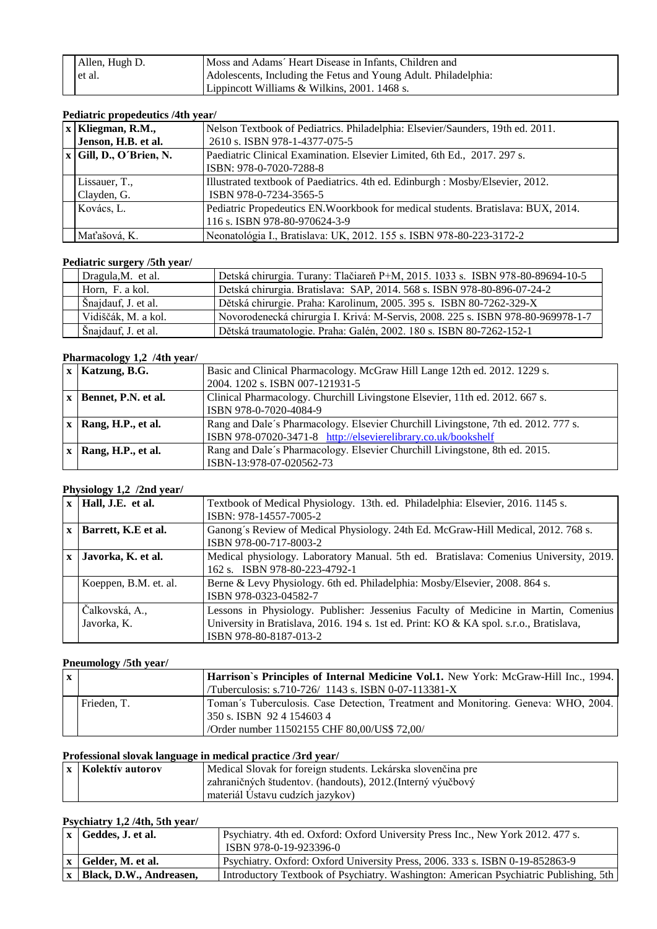| Allen, Hugh D. | Moss and Adams' Heart Disease in Infants. Children and          |
|----------------|-----------------------------------------------------------------|
| et al.         | Adolescents, Including the Fetus and Young Adult. Philadelphia: |
|                | Lippincott Williams & Wilkins, 2001. 1468 s.                    |

#### **Pediatric propedeutics /4th year/**

| $x$ Kliegman, R.M.,       | Nelson Textbook of Pediatrics. Philadelphia: Elsevier/Saunders, 19th ed. 2011.    |
|---------------------------|-----------------------------------------------------------------------------------|
| Jenson, H.B. et al.       | 2610 s. ISBN 978-1-4377-075-5                                                     |
| $x$ Gill, D., O'Brien, N. | Paediatric Clinical Examination. Elsevier Limited, 6th Ed., 2017. 297 s.          |
|                           | ISBN: 978-0-7020-7288-8                                                           |
| Lissauer, T.,             | Illustrated textbook of Paediatrics. 4th ed. Edinburgh : Mosby/Elsevier, 2012.    |
| Clayden, G.               | ISBN 978-0-7234-3565-5                                                            |
| Kovács, L.                | Pediatric Propedeutics EN. Woorkbook for medical students. Bratislava: BUX, 2014. |
|                           | 116 s. ISBN 978-80-970624-3-9                                                     |
| Maťašová, K.              | Neonatológia I., Bratislava: UK, 2012. 155 s. ISBN 978-80-223-3172-2              |

#### **Pediatric surgery /5th year/**

| Dragula, M. et al.  | Detská chirurgia. Turany: Tlačiareň P+M, 2015. 1033 s. ISBN 978-80-89694-10-5   |
|---------------------|---------------------------------------------------------------------------------|
| Horn, F. a kol.     | Detská chirurgia. Bratislava: SAP, 2014. 568 s. ISBN 978-80-896-07-24-2         |
| Snajdauf, J. et al. | Dětská chirurgie. Praha: Karolinum, 2005. 395 s. ISBN 80-7262-329-X             |
| Vidiščák, M. a kol. | Novorodenecká chirurgia I. Krivá: M-Servis, 2008. 225 s. ISBN 978-80-969978-1-7 |
| Šnajdauf, J. et al. | Dětská traumatologie. Praha: Galén, 2002. 180 s. ISBN 80-7262-152-1             |

# **Pharmacology 1,2 /4th year/**

|              | $x$   Katzung, B.G. | Basic and Clinical Pharmacology. McGraw Hill Lange 12th ed. 2012. 1229 s.          |
|--------------|---------------------|------------------------------------------------------------------------------------|
|              |                     | 2004. 1202 s. ISBN 007-121931-5                                                    |
|              | Bennet, P.N. et al. | Clinical Pharmacology. Churchill Livingstone Elsevier, 11th ed. 2012. 667 s.       |
|              |                     | ISBN 978-0-7020-4084-9                                                             |
| $\mathbf{x}$ | Rang, H.P., et al.  | Rang and Dale's Pharmacology. Elsevier Churchill Livingstone, 7th ed. 2012. 777 s. |
|              |                     | ISBN 978-07020-3471-8 http://elsevierelibrary.co.uk/bookshelf                      |
|              | Rang, H.P., et al.  | Rang and Dale's Pharmacology. Elsevier Churchill Livingstone, 8th ed. 2015.        |
|              |                     | ISBN-13:978-07-020562-73                                                           |

# **Physiology 1,2 /2nd year/**

|              | $x$   Hall, J.E. et al.       | Textbook of Medical Physiology. 13th. ed. Philadelphia: Elsevier, 2016. 1145 s.<br>ISBN: 978-14557-7005-2                                                                                                |
|--------------|-------------------------------|----------------------------------------------------------------------------------------------------------------------------------------------------------------------------------------------------------|
| $\mathbf{x}$ | Barrett, K.E et al.           | Ganong's Review of Medical Physiology. 24th Ed. McGraw-Hill Medical, 2012. 768 s.<br>ISBN 978-00-717-8003-2                                                                                              |
|              | Javorka, K. et al.            | Medical physiology. Laboratory Manual. 5th ed. Bratislava: Comenius University, 2019.<br>162 s. ISBN 978-80-223-4792-1                                                                                   |
|              | Koeppen, B.M. et. al.         | Berne & Levy Physiology. 6th ed. Philadelphia: Mosby/Elsevier, 2008. 864 s.<br>ISBN 978-0323-04582-7                                                                                                     |
|              | Čalkovská, A.,<br>Javorka, K. | Lessons in Physiology. Publisher: Jessenius Faculty of Medicine in Martin, Comenius<br>University in Bratislava, 2016. 194 s. 1st ed. Print: KO & KA spol. s.r.o., Bratislava,<br>ISBN 978-80-8187-013-2 |

# **Pneumology /5th year/**

| $\mathbf{x}$ |             | <b>Harrison's Principles of Internal Medicine Vol.1.</b> New York: McGraw-Hill Inc., 1994. |
|--------------|-------------|--------------------------------------------------------------------------------------------|
|              |             | /Tuberculosis: s.710-726/ 1143 s. ISBN 0-07-113381-X                                       |
|              | Frieden, T. | Toman's Tuberculosis. Case Detection, Treatment and Monitoring. Geneva: WHO, 2004.         |
|              |             | 350 s. ISBN 9241546034                                                                     |
|              |             | /Order number 11502155 CHF 80,00/US\$ 72,00/                                               |

# **Professional slovak language in medical practice /3rd year/**

| x   Kolektív autorov | Medical Slovak for foreign students. Lekárska slovenčina pre |
|----------------------|--------------------------------------------------------------|
|                      | zahraničných študentov. (handouts), 2012. (Interný výučbový  |
|                      | materiál Ustavu cudzích jazykov)                             |

# **Psychiatry 1,2 /4th, 5th year/**

| x   Geddes, J. et al.       | Psychiatry. 4th ed. Oxford: Oxford University Press Inc., New York 2012. 477 s.<br>ISBN 978-0-19-923396-0 |
|-----------------------------|-----------------------------------------------------------------------------------------------------------|
| x Gelder, M. et al.         | Psychiatry. Oxford: Oxford University Press, 2006. 333 s. ISBN 0-19-852863-9                              |
| x   Black, D.W., Andreasen, | Introductory Textbook of Psychiatry. Washington: American Psychiatric Publishing, 5th                     |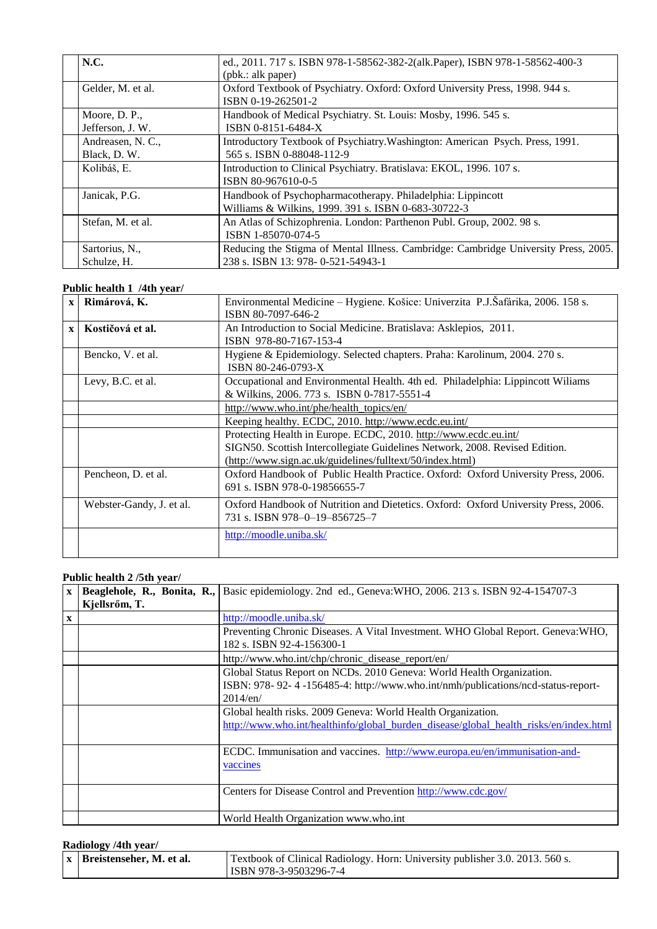| <b>N.C.</b>                      | ed., 2011. 717 s. ISBN 978-1-58562-382-2(alk.Paper), ISBN 978-1-58562-400-3<br>(pbk.: alk paper)                         |
|----------------------------------|--------------------------------------------------------------------------------------------------------------------------|
| Gelder, M. et al.                | Oxford Textbook of Psychiatry. Oxford: Oxford University Press, 1998. 944 s.<br>ISBN 0-19-262501-2                       |
| Moore, D. P.,<br>Jefferson, J.W. | Handbook of Medical Psychiatry. St. Louis: Mosby, 1996. 545 s.<br>ISBN 0-8151-6484-X                                     |
| Andreasen, N. C.,<br>Black, D.W. | Introductory Textbook of Psychiatry. Washington: American Psych. Press, 1991.<br>565 s. ISBN 0-88048-112-9               |
| Kolibáš, E.                      | Introduction to Clinical Psychiatry. Bratislava: EKOL, 1996. 107 s.<br>ISBN 80-967610-0-5                                |
| Janicak, P.G.                    | Handbook of Psychopharmacotherapy. Philadelphia: Lippincott<br>Williams & Wilkins, 1999. 391 s. ISBN 0-683-30722-3       |
| Stefan, M. et al.                | An Atlas of Schizophrenia. London: Parthenon Publ. Group, 2002. 98 s.<br>ISBN 1-85070-074-5                              |
| Sartorius, N.,<br>Schulze, H.    | Reducing the Stigma of Mental Illness. Cambridge: Cambridge University Press, 2005.<br>238 s. ISBN 13: 978-0-521-54943-1 |

#### **Public health 1 /4th year/**

| $\mathbf{x}$ | Rimárová, K.             | Environmental Medicine - Hygiene. Košice: Univerzita P.J.Šafárika, 2006. 158 s.<br>ISBN 80-7097-646-2                                                                                                        |
|--------------|--------------------------|--------------------------------------------------------------------------------------------------------------------------------------------------------------------------------------------------------------|
| $\mathbf{x}$ | Kostičová et al.         | An Introduction to Social Medicine. Bratislava: Asklepios, 2011.<br>ISBN 978-80-7167-153-4                                                                                                                   |
|              | Bencko, V. et al.        | Hygiene & Epidemiology. Selected chapters. Praha: Karolinum, 2004. 270 s.<br>ISBN 80-246-0793-X                                                                                                              |
|              | Levy, B.C. et al.        | Occupational and Environmental Health. 4th ed. Philadelphia: Lippincott Wiliams<br>& Wilkins, 2006. 773 s. ISBN 0-7817-5551-4                                                                                |
|              |                          | http://www.who.int/phe/health_topics/en/                                                                                                                                                                     |
|              |                          | Keeping healthy. ECDC, 2010. http://www.ecdc.eu.int/                                                                                                                                                         |
|              |                          | Protecting Health in Europe. ECDC, 2010. http://www.ecdc.eu.int/<br>SIGN50. Scottish Intercollegiate Guidelines Network, 2008. Revised Edition.<br>(http://www.sign.ac.uk/guidelines/fulltext/50/index.html) |
|              | Pencheon, D. et al.      | Oxford Handbook of Public Health Practice. Oxford: Oxford University Press, 2006.<br>691 s. ISBN 978-0-19856655-7                                                                                            |
|              | Webster-Gandy, J. et al. | Oxford Handbook of Nutrition and Dietetics. Oxford: Oxford University Press, 2006.<br>731 s. ISBN 978-0-19-856725-7                                                                                          |
|              |                          | http://moodle.uniba.sk/                                                                                                                                                                                      |

#### **Public health 2 /5th year/**

| $\mathbf{X}$ | Beaglehole, R., Bonita, R.,<br>Kjellsrőm, T. | Basic epidemiology. 2nd ed., Geneva: WHO, 2006. 213 s. ISBN 92-4-154707-3             |
|--------------|----------------------------------------------|---------------------------------------------------------------------------------------|
|              |                                              |                                                                                       |
| $\mathbf{X}$ |                                              | http://moodle.uniba.sk/                                                               |
|              |                                              | Preventing Chronic Diseases. A Vital Investment. WHO Global Report. Geneva: WHO,      |
|              |                                              | 182 s. ISBN 92-4-156300-1                                                             |
|              |                                              | http://www.who.int/chp/chronic_disease_report/en/                                     |
|              |                                              | Global Status Report on NCDs. 2010 Geneva: World Health Organization.                 |
|              |                                              | ISBN: 978-92-4-156485-4: http://www.who.int/nmh/publications/ncd-status-report-       |
|              |                                              | $2014$ /en/                                                                           |
|              |                                              | Global health risks. 2009 Geneva: World Health Organization.                          |
|              |                                              | http://www.who.int/healthinfo/global burden disease/global health risks/en/index.html |
|              |                                              |                                                                                       |
|              |                                              | ECDC. Immunisation and vaccines. http://www.europa.eu/en/immunisation-and-            |
|              |                                              | vaccines                                                                              |
|              |                                              |                                                                                       |
|              |                                              | Centers for Disease Control and Prevention http://www.cdc.gov/                        |
|              |                                              |                                                                                       |
|              |                                              | World Health Organization www.who.int                                                 |

# **Radiology /4th year/**

| $\vert x \vert$ Breistenseher, M. et al. | Textbook of Clinical Radiology. Horn: University publisher 3.0. 2013. 560 s. |
|------------------------------------------|------------------------------------------------------------------------------|
|                                          | ISBN 978-3-9503296-7-4                                                       |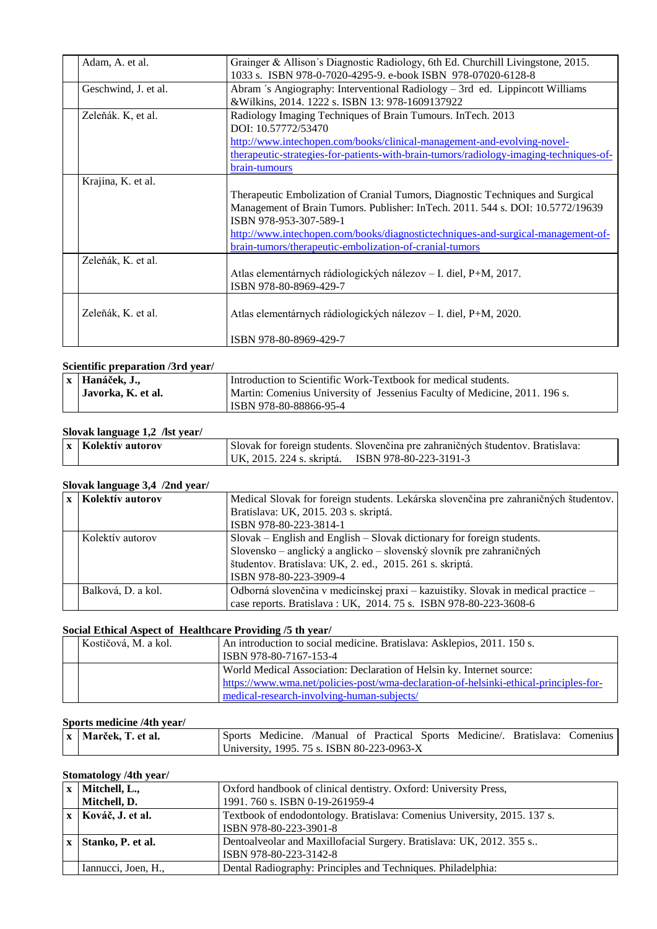| Adam, A. et al.      | Grainger & Allison's Diagnostic Radiology, 6th Ed. Churchill Livingstone, 2015.<br>1033 s. ISBN 978-0-7020-4295-9. e-book ISBN 978-07020-6128-8                                                                                                                                |
|----------------------|--------------------------------------------------------------------------------------------------------------------------------------------------------------------------------------------------------------------------------------------------------------------------------|
| Geschwind, J. et al. | Abram 's Angiography: Interventional Radiology – 3rd ed. Lippincott Williams<br>& Wilkins, 2014. 1222 s. ISBN 13: 978-1609137922                                                                                                                                               |
| Zeleňák. K, et al.   | Radiology Imaging Techniques of Brain Tumours. InTech. 2013<br>DOI: 10.57772/53470                                                                                                                                                                                             |
|                      | http://www.intechopen.com/books/clinical-management-and-evolving-novel-<br>therapeutic-strategies-for-patients-with-brain-tumors/radiology-imaging-techniques-of-<br>brain-tumours                                                                                             |
| Krajina, K. et al.   | Therapeutic Embolization of Cranial Tumors, Diagnostic Techniques and Surgical<br>Management of Brain Tumors. Publisher: InTech. 2011. 544 s. DOI: 10.5772/19639<br>ISBN 978-953-307-589-1<br>http://www.intechopen.com/books/diagnostictechniques-and-surgical-management-of- |
| Zeleňák, K. et al.   | brain-tumors/therapeutic-embolization-of-cranial-tumors<br>Atlas elementárnych rádiologických nálezov – I. diel, P+M, 2017.<br>ISBN 978-80-8969-429-7                                                                                                                          |
| Zeleňák, K. et al.   | Atlas elementárnych rádiologických nálezov – I. diel, P+M, 2020.<br>ISBN 978-80-8969-429-7                                                                                                                                                                                     |

#### **Scientific preparation /3rd year/**

| x Hanáček, J.,     | Introduction to Scientific Work-Textbook for medical students.             |
|--------------------|----------------------------------------------------------------------------|
| Javorka, K. et al. | Martin: Comenius University of Jessenius Faculty of Medicine, 2011. 196 s. |
|                    | ISBN 978-80-88866-95-4                                                     |

# **Slovak language 1,2 /lst year/**

| x   Kolektív autorov | Slovak for foreign students. Slovenčina pre zahraničných študentov. Bratislava: |  |
|----------------------|---------------------------------------------------------------------------------|--|
|                      | UK. 2015. 224 s. skriptá. ISBN 978-80-223-3191-3                                |  |

# **Slovak language 3,4 /2nd year/**

| x   Kolektív autorov | Medical Slovak for foreign students. Lekárska slovenčina pre zahraničných študentov.<br>Bratislava: UK, 2015. 203 s. skriptá.<br>ISBN 978-80-223-3814-1                                                                              |
|----------------------|--------------------------------------------------------------------------------------------------------------------------------------------------------------------------------------------------------------------------------------|
| Kolektív autorov     | Slovak – English and English – Slovak dictionary for foreign students.<br>Slovensko – anglický a anglicko – slovenský slovník pre zahraničných<br>študentov. Bratislava: UK, 2. ed., 2015. 261 s. skriptá.<br>ISBN 978-80-223-3909-4 |
| Balková, D. a kol.   | Odborná slovenčina v medicínskej praxi – kazuistiky. Slovak in medical practice –<br>case reports. Bratislava: UK, 2014. 75 s. ISBN 978-80-223-3608-6                                                                                |

# **Social Ethical Aspect of Healthcare Providing /5 th year/**

| Kostičová, M. a kol. | An introduction to social medicine. Bratislava: Asklepios, 2011. 150 s.<br>ISBN 978-80-7167-153-4 |
|----------------------|---------------------------------------------------------------------------------------------------|
|                      |                                                                                                   |
|                      | World Medical Association: Declaration of Helsin ky. Internet source:                             |
|                      | https://www.wma.net/policies-post/wma-declaration-of-helsinki-ethical-principles-for-             |
|                      | medical-research-involving-human-subjects/                                                        |

# **Sports medicine /4th year/**

| $\mathbf{x}$ Marček, T. et al. |                                            |  |  | Sports Medicine. /Manual of Practical Sports Medicine/. Bratislava: Comenius |  |
|--------------------------------|--------------------------------------------|--|--|------------------------------------------------------------------------------|--|
|                                | University, 1995. 75 s. ISBN 80-223-0963-X |  |  |                                                                              |  |

#### **Stomatology /4th year/**

| $\mathbf{x}$ | Mitchell, L.,        | Oxford handbook of clinical dentistry. Oxford: University Press,         |
|--------------|----------------------|--------------------------------------------------------------------------|
|              | Mitchell, D.         | 1991. 760 s. ISBN 0-19-261959-4                                          |
|              | x   Kováč, J. et al. | Textbook of endodontology. Bratislava: Comenius University, 2015. 137 s. |
|              |                      | ISBN 978-80-223-3901-8                                                   |
|              | x Stanko, P. et al.  | Dentoalveolar and Maxillofacial Surgery. Bratislava: UK, 2012. 355 s     |
|              |                      | ISBN 978-80-223-3142-8                                                   |
|              | Iannucci, Joen, H.,  | Dental Radiography: Principles and Techniques. Philadelphia:             |